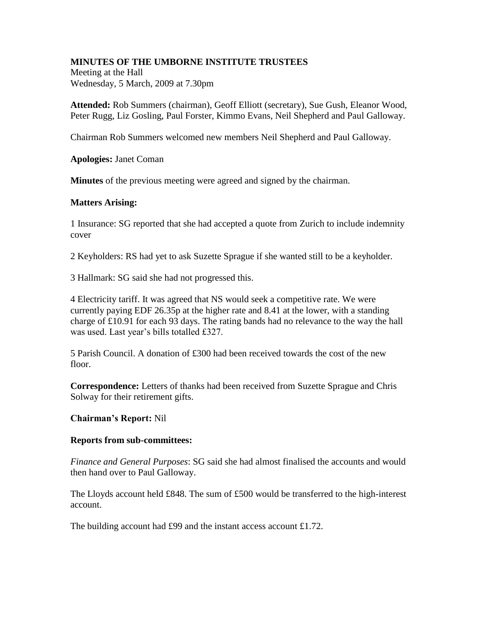## **MINUTES OF THE UMBORNE INSTITUTE TRUSTEES**

Meeting at the Hall Wednesday, 5 March, 2009 at 7.30pm

**Attended:** Rob Summers (chairman), Geoff Elliott (secretary), Sue Gush, Eleanor Wood, Peter Rugg, Liz Gosling, Paul Forster, Kimmo Evans, Neil Shepherd and Paul Galloway.

Chairman Rob Summers welcomed new members Neil Shepherd and Paul Galloway.

**Apologies:** Janet Coman

**Minutes** of the previous meeting were agreed and signed by the chairman.

## **Matters Arising:**

1 Insurance: SG reported that she had accepted a quote from Zurich to include indemnity cover

2 Keyholders: RS had yet to ask Suzette Sprague if she wanted still to be a keyholder.

3 Hallmark: SG said she had not progressed this.

4 Electricity tariff. It was agreed that NS would seek a competitive rate. We were currently paying EDF 26.35p at the higher rate and 8.41 at the lower, with a standing charge of £10.91 for each 93 days. The rating bands had no relevance to the way the hall was used. Last year's bills totalled £327.

5 Parish Council. A donation of £300 had been received towards the cost of the new floor.

**Correspondence:** Letters of thanks had been received from Suzette Sprague and Chris Solway for their retirement gifts.

## **Chairman's Report:** Nil

## **Reports from sub-committees:**

*Finance and General Purposes*: SG said she had almost finalised the accounts and would then hand over to Paul Galloway.

The Lloyds account held £848. The sum of £500 would be transferred to the high-interest account.

The building account had £99 and the instant access account £1.72.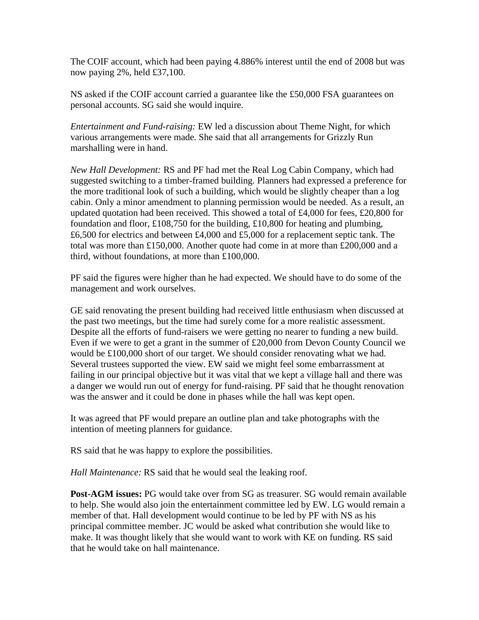The COIF account, which had been paying 4.886% interest until the end of 2008 but was now paying 2%, held £37,100.

NS asked if the COIF account carried a guarantee like the £50,000 FSA guarantees on personal accounts. SG said she would inquire.

*Entertainment and Fund-raising:* EW led a discussion about Theme Night, for which various arrangements were made. She said that all arrangements for Grizzly Run marshalling were in hand.

*New Hall Development:* RS and PF had met the Real Log Cabin Company, which had suggested switching to a timber-framed building. Planners had expressed a preference for the more traditional look of such a building, which would be slightly cheaper than a log cabin. Only a minor amendment to planning permission would be needed. As a result, an updated quotation had been received. This showed a total of £4,000 for fees, £20,800 for foundation and floor, £108,750 for the building, £10,800 for heating and plumbing, £6,500 for electrics and between £4,000 and £5,000 for a replacement septic tank. The total was more than £150,000. Another quote had come in at more than £200,000 and a third, without foundations, at more than £100,000.

PF said the figures were higher than he had expected. We should have to do some of the management and work ourselves.

GE said renovating the present building had received little enthusiasm when discussed at the past two meetings, but the time had surely come for a more realistic assessment. Despite all the efforts of fund-raisers we were getting no nearer to funding a new build. Even if we were to get a grant in the summer of £20,000 from Devon County Council we would be £100,000 short of our target. We should consider renovating what we had. Several trustees supported the view. EW said we might feel some embarrassment at failing in our principal objective but it was vital that we kept a village hall and there was a danger we would run out of energy for fund-raising. PF said that he thought renovation was the answer and it could be done in phases while the hall was kept open.

It was agreed that PF would prepare an outline plan and take photographs with the intention of meeting planners for guidance.

RS said that he was happy to explore the possibilities.

*Hall Maintenance:* RS said that he would seal the leaking roof.

**Post-AGM issues:** PG would take over from SG as treasurer. SG would remain available to help. She would also join the entertainment committee led by EW. LG would remain a member of that. Hall development would continue to be led by PF with NS as his principal committee member. JC would be asked what contribution she would like to make. It was thought likely that she would want to work with KE on funding. RS said that he would take on hall maintenance.